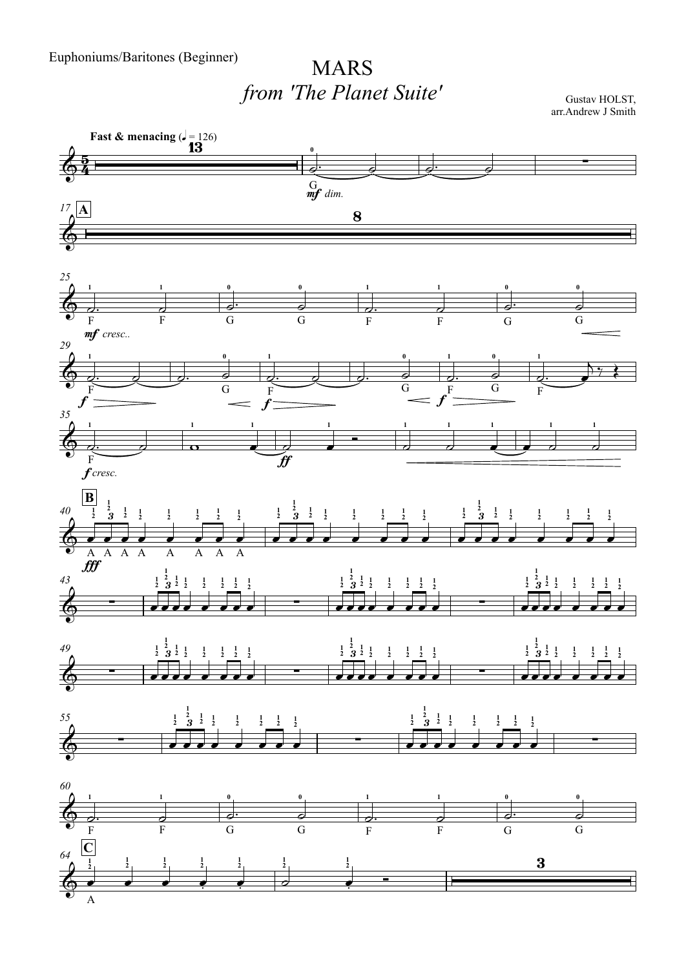## MARS*from 'The Planet Suite'*

Gustav HOLST, arr.Andrew J Smith